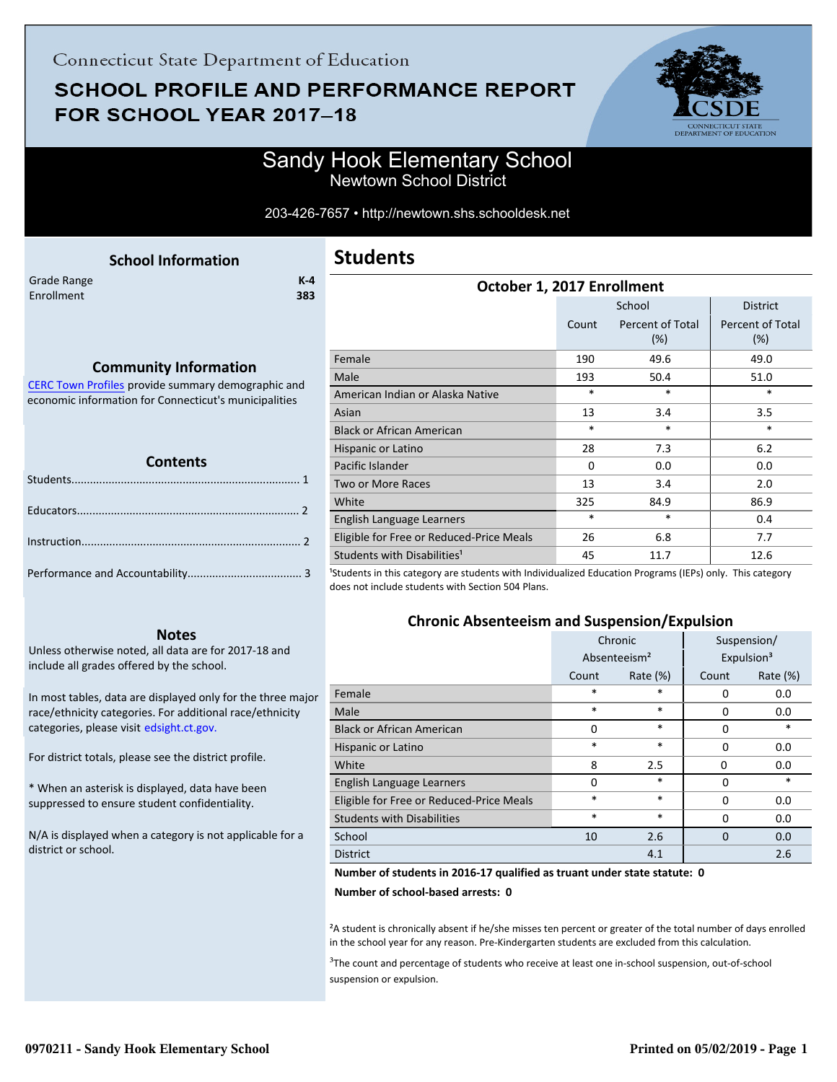# **SCHOOL PROFILE AND PERFORMANCE REPORT** FOR SCHOOL YEAR 2017-18



## Sandy Hook Elementary School Newtown School District

#### 203-426-7657 • http://newtown.shs.schooldesk.net

<span id="page-0-0"></span>

|             | <b>School Information</b> |       |
|-------------|---------------------------|-------|
| Grade Range |                           | $K-4$ |
| Enrollment  |                           | 383   |
|             |                           |       |
|             |                           |       |

## **Students**

| October 1, 2017 Enrollment               |          |                         |                                |  |
|------------------------------------------|----------|-------------------------|--------------------------------|--|
|                                          |          | School                  | <b>District</b>                |  |
|                                          | Count    | Percent of Total<br>(%) | <b>Percent of Total</b><br>(%) |  |
| Female                                   | 190      | 49.6                    | 49.0                           |  |
| Male                                     | 193      | 50.4                    | 51.0                           |  |
| American Indian or Alaska Native         | $\ast$   | *                       | $\ast$                         |  |
| Asian                                    | 13       | 3.4                     | 3.5                            |  |
| <b>Black or African American</b>         | $\ast$   | $\ast$                  | $\ast$                         |  |
| Hispanic or Latino                       | 28       | 7.3                     | 6.2                            |  |
| Pacific Islander                         | $\Omega$ | 0.0                     | 0.0                            |  |
| Two or More Races                        | 13       | 3.4                     | 2.0                            |  |
| White                                    | 325      | 84.9                    | 86.9                           |  |
| English Language Learners                | $\ast$   | *                       | 0.4                            |  |
| Eligible for Free or Reduced-Price Meals | 26       | 6.8                     | 7.7                            |  |
| Students with Disabilities <sup>1</sup>  | 45       | 11.7                    | 12.6                           |  |
|                                          |          |                         |                                |  |

<sup>1</sup>Students in this category are students with Individualized Education Programs (IEPs) only. This category does not include students with Section 504 Plans.

### **Chronic Absenteeism and Suspension/Expulsion**

|                                          | Chronic                  |             | Suspension/ |                        |
|------------------------------------------|--------------------------|-------------|-------------|------------------------|
|                                          | Absenteeism <sup>2</sup> |             |             | Expulsion <sup>3</sup> |
|                                          | Count                    | Rate $(\%)$ | Count       | Rate $(\%)$            |
| Female                                   | *                        | *           | 0           | 0.0                    |
| Male                                     | *                        | *           | 0           | 0.0                    |
| <b>Black or African American</b>         | $\Omega$                 | *           | 0           | $\ast$                 |
| Hispanic or Latino                       | *                        | *           | 0           | 0.0                    |
| White                                    | 8                        | 2.5         | 0           | 0.0                    |
| English Language Learners                | $\Omega$                 | *           | 0           | $\ast$                 |
| Eligible for Free or Reduced-Price Meals | *                        | *           | 0           | 0.0                    |
| <b>Students with Disabilities</b>        | *                        | *           | $\Omega$    | 0.0                    |
| School                                   | 10                       | 2.6         | $\Omega$    | 0.0                    |
| <b>District</b>                          |                          | 4.1         |             | 2.6                    |

#### **Number of students in 2016-17 qualified as truant under state statute: 0**

**Number of school-based arrests: 0**

²A student is chronically absent if he/she misses ten percent or greater of the total number of days enrolled in the school year for any reason. Pre-Kindergarten students are excluded from this calculation.

<sup>3</sup>The count and percentage of students who receive at least one in-school suspension, out-of-school suspension or expulsion.

### **Community Information**

[CERC Town Profiles provide summary demographic and](http://www.cerc.com/townprofiles/) economic information for Connecticut's municipalities

#### **Contents**

#### **Notes**

Unless otherwise noted, all data are for 2017-18 and include all grades offered by the school.

[In most tables, data are displayed only for the three major](http://edsight.ct.gov/) race/ethnicity categories. For additional race/ethnicity categories, please visit edsight.ct.gov.

For district totals, please see the district profile.

\* When an asterisk is displayed, data have been suppressed to ensure student confidentiality.

N/A is displayed when a category is not applicable for a district or school.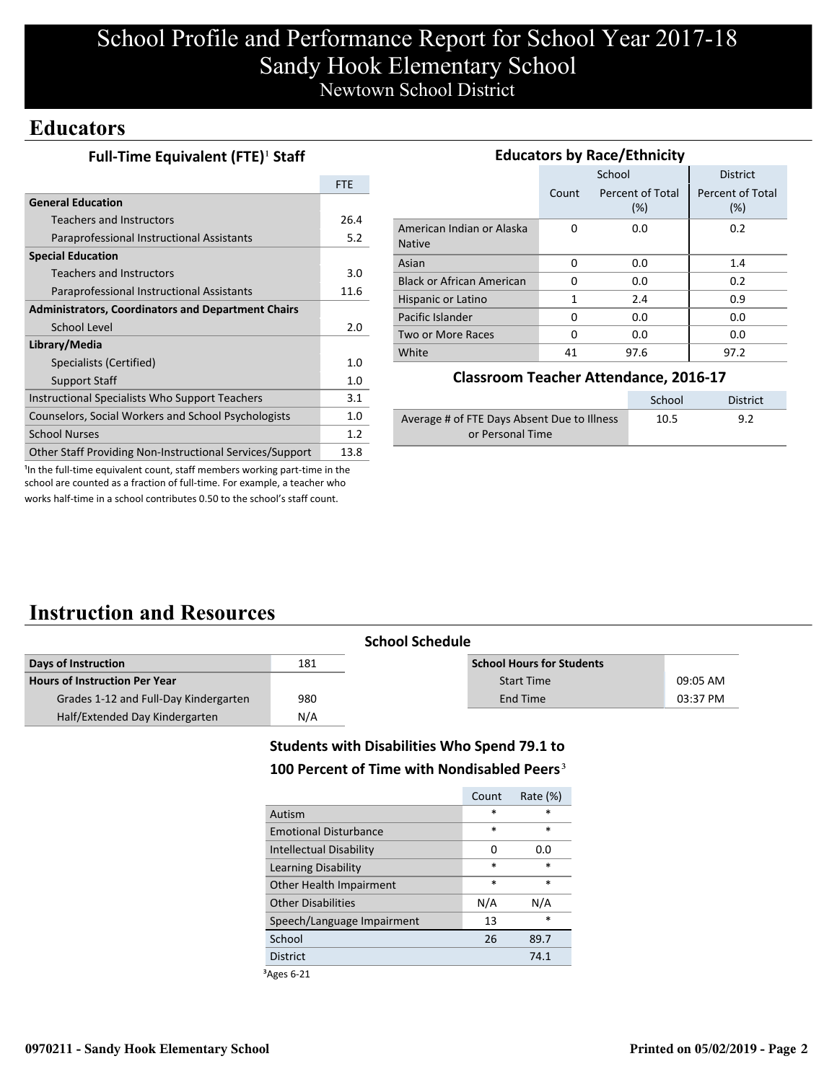# School Profile and Performance Report for School Year 2017-18 Sandy Hook Elementary School Newtown School District

## **Educators**

|  | Full-Time Equivalent (FTE) <sup>1</sup> Staff |  |
|--|-----------------------------------------------|--|
|--|-----------------------------------------------|--|

|                                                           | <b>FTE</b> |
|-----------------------------------------------------------|------------|
| <b>General Education</b>                                  |            |
| <b>Teachers and Instructors</b>                           | 26.4       |
| Paraprofessional Instructional Assistants                 | 5.2        |
| <b>Special Education</b>                                  |            |
| Teachers and Instructors                                  | 3.0        |
| Paraprofessional Instructional Assistants                 | 11.6       |
| <b>Administrators, Coordinators and Department Chairs</b> |            |
| School Level                                              | 2.0        |
| Library/Media                                             |            |
| Specialists (Certified)                                   | 1.0        |
| <b>Support Staff</b>                                      | 1.0        |
| Instructional Specialists Who Support Teachers            | 3.1        |
| Counselors, Social Workers and School Psychologists       | 1.0        |
| <b>School Nurses</b>                                      | 1.2        |
| Other Staff Providing Non-Instructional Services/Support  | 13.8       |

| <b>Educators by Race/Ethnicity</b>         |       |                         |                                |  |
|--------------------------------------------|-------|-------------------------|--------------------------------|--|
|                                            |       | School                  | <b>District</b>                |  |
|                                            | Count | Percent of Total<br>(%) | <b>Percent of Total</b><br>(%) |  |
| American Indian or Alaska<br><b>Native</b> | 0     | 0.0                     | 0.2                            |  |
| Asian                                      | 0     | 0.0                     | 1.4                            |  |
| <b>Black or African American</b>           | O     | 0.0                     | 0.2                            |  |
| Hispanic or Latino                         | 1     | 2.4                     | 0.9                            |  |
| Pacific Islander                           | O     | 0.0                     | 0.0                            |  |
| Two or More Races                          | 0     | 0.0                     | 0.0                            |  |
| White                                      | 41    | 97.6                    | 97.2                           |  |

### **Classroom Teacher Attendance, 2016-17**

|                                             | School | District |
|---------------------------------------------|--------|----------|
| Average # of FTE Days Absent Due to Illness | 10.5   | 9.2      |
| or Personal Time                            |        |          |

<sup>1</sup>In the full-time equivalent count, staff members working part-time in the school are counted as a fraction of full-time. For example, a teacher who works half-time in a school contributes 0.50 to the school's staff count.

## **Instruction and Resources**

|                                       |     | <b>School Schedule</b>           |          |
|---------------------------------------|-----|----------------------------------|----------|
| Days of Instruction                   | 181 | <b>School Hours for Students</b> |          |
| <b>Hours of Instruction Per Year</b>  |     | <b>Start Time</b>                | 09:05 AM |
| Grades 1-12 and Full-Day Kindergarten | 980 | End Time                         | 03:37 PM |
| Half/Extended Day Kindergarten        | N/A |                                  |          |

### **Students with Disabilities Who Spend 79.1 to**

### **100 Percent of Time with Nondisabled Peers**³

|                                | Count  | Rate $(\%)$ |
|--------------------------------|--------|-------------|
| Autism                         | $\ast$ | $\ast$      |
| <b>Emotional Disturbance</b>   | $\ast$ | $\ast$      |
| <b>Intellectual Disability</b> | 0      | 0.0         |
| Learning Disability            | $\ast$ | *           |
| Other Health Impairment        | $\ast$ | $\ast$      |
| <b>Other Disabilities</b>      | N/A    | N/A         |
| Speech/Language Impairment     | 13     | *           |
| School                         | 26     | 89.7        |
| <b>District</b>                |        | 74.1        |
|                                |        |             |

³Ages 6-21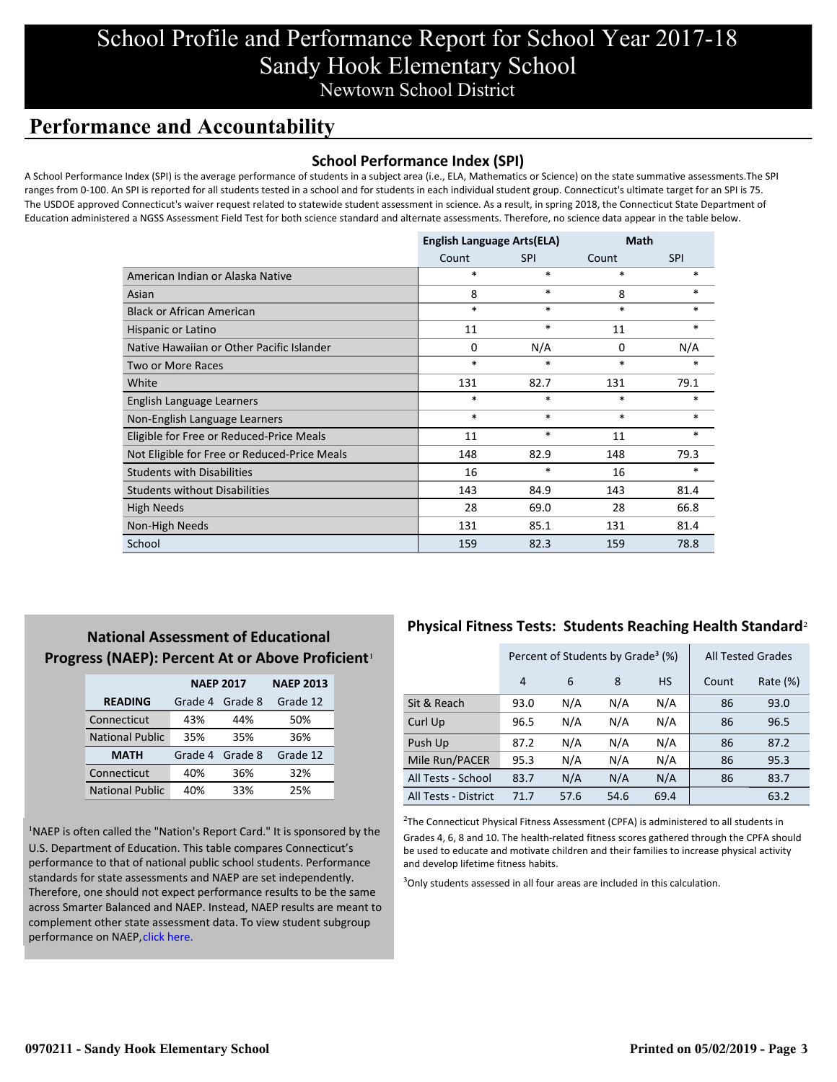# School Profile and Performance Report for School Year 2017-18 Sandy Hook Elementary School Newtown School District

## **Performance and Accountability**

### **School Performance Index (SPI)**

A School Performance Index (SPI) is the average performance of students in a subject area (i.e., ELA, Mathematics or Science) on the state summative assessments.The SPI ranges from 0-100. An SPI is reported for all students tested in a school and for students in each individual student group. Connecticut's ultimate target for an SPI is 75. The USDOE approved Connecticut's waiver request related to statewide student assessment in science. As a result, in spring 2018, the Connecticut State Department of Education administered a NGSS Assessment Field Test for both science standard and alternate assessments. Therefore, no science data appear in the table below.

|                                              | <b>English Language Arts(ELA)</b> |            | Math   |            |
|----------------------------------------------|-----------------------------------|------------|--------|------------|
|                                              | Count                             | <b>SPI</b> | Count  | <b>SPI</b> |
| American Indian or Alaska Native             | $\ast$                            | $\ast$     | $\ast$ | $\ast$     |
| Asian                                        | 8                                 | $\ast$     | 8      | $*$        |
| <b>Black or African American</b>             | $\ast$                            | $\ast$     | $\ast$ | $*$        |
| Hispanic or Latino                           | 11                                | $\ast$     | 11     | $\ast$     |
| Native Hawaiian or Other Pacific Islander    | 0                                 | N/A        | 0      | N/A        |
| Two or More Races                            | $\ast$                            | $\ast$     | $\ast$ | $\ast$     |
| White                                        | 131                               | 82.7       | 131    | 79.1       |
| English Language Learners                    | $\ast$                            | $\ast$     | $\ast$ | $\ast$     |
| Non-English Language Learners                | $\ast$                            | $\ast$     | $\ast$ | $*$        |
| Eligible for Free or Reduced-Price Meals     | 11                                | $\ast$     | 11     | $\ast$     |
| Not Eligible for Free or Reduced-Price Meals | 148                               | 82.9       | 148    | 79.3       |
| <b>Students with Disabilities</b>            | 16                                | $\ast$     | 16     | $\ast$     |
| <b>Students without Disabilities</b>         | 143                               | 84.9       | 143    | 81.4       |
| <b>High Needs</b>                            | 28                                | 69.0       | 28     | 66.8       |
| Non-High Needs                               | 131                               | 85.1       | 131    | 81.4       |
| School                                       | 159                               | 82.3       | 159    | 78.8       |

### **National Assessment of Educational Progress (NAEP): Percent At or Above Proficient**<sup>1</sup>

|                        | <b>NAEP 2017</b> | <b>NAEP 2013</b> |          |
|------------------------|------------------|------------------|----------|
| <b>READING</b>         | Grade 4          | Grade 8          | Grade 12 |
| Connecticut            | 43%              | 44%              | 50%      |
| <b>National Public</b> | 35%              | 35%              | 36%      |
| <b>MATH</b>            | Grade 4          | Grade 8          | Grade 12 |
| Connecticut            | 40%              | 36%              | 32%      |
| <b>National Public</b> | 40%              | 33%              | 25%      |

<sup>1</sup>NAEP is often called the "Nation's Report Card." It is sponsored by the U.S. Department of Education. This table compares Connecticut's performance to that of national public school students. Performance standards for state assessments and NAEP are set independently. Therefore, one should not expect performance results to be the same [across Smarter Balanced and NAEP. Instead, NAEP results are meant to](https://portal.ct.gov/-/media/SDE/Student-Assessment/NAEP/report-card_NAEP-2017.pdf?la=en) complement other state assessment data. To view student subgroup performance on NAEP, click here.

### **Physical Fitness Tests: Students Reaching Health Standard**²

|                      | Percent of Students by Grade <sup>3</sup> (%) |      |      |           | <b>All Tested Grades</b> |          |
|----------------------|-----------------------------------------------|------|------|-----------|--------------------------|----------|
|                      | 4                                             | 6    | 8    | <b>HS</b> | Count                    | Rate (%) |
| Sit & Reach          | 93.0                                          | N/A  | N/A  | N/A       | 86                       | 93.0     |
| Curl Up              | 96.5                                          | N/A  | N/A  | N/A       | 86                       | 96.5     |
| Push Up              | 87.2                                          | N/A  | N/A  | N/A       | 86                       | 87.2     |
| Mile Run/PACER       | 95.3                                          | N/A  | N/A  | N/A       | 86                       | 95.3     |
| All Tests - School   | 83.7                                          | N/A  | N/A  | N/A       | 86                       | 83.7     |
| All Tests - District | 71.7                                          | 57.6 | 54.6 | 69.4      |                          | 63.2     |

 $2$ The Connecticut Physical Fitness Assessment (CPFA) is administered to all students in Grades 4, 6, 8 and 10. The health-related fitness scores gathered through the CPFA should be used to educate and motivate children and their families to increase physical activity and develop lifetime fitness habits.

 $3$ Only students assessed in all four areas are included in this calculation.